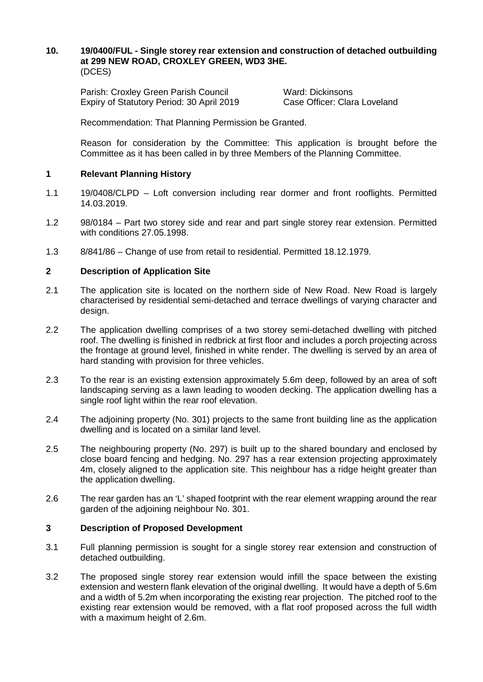#### **10. 19/0400/FUL - Single storey rear extension and construction of detached outbuilding at 299 NEW ROAD, CROXLEY GREEN, WD3 3HE.**  (DCES)

Parish: Croxley Green Parish Council Ward: Dickinsons Expiry of Statutory Period: 30 April 2019 Case Officer: Clara Loveland

Recommendation: That Planning Permission be Granted.

Reason for consideration by the Committee: This application is brought before the Committee as it has been called in by three Members of the Planning Committee.

# **1 Relevant Planning History**

- 1.1 19/0408/CLPD Loft conversion including rear dormer and front rooflights. Permitted 14.03.2019.
- 1.2 98/0184 Part two storey side and rear and part single storey rear extension. Permitted with conditions 27.05.1998.
- 1.3 8/841/86 Change of use from retail to residential. Permitted 18.12.1979.

# **2 Description of Application Site**

- 2.1 The application site is located on the northern side of New Road. New Road is largely characterised by residential semi-detached and terrace dwellings of varying character and design.
- 2.2 The application dwelling comprises of a two storey semi-detached dwelling with pitched roof. The dwelling is finished in redbrick at first floor and includes a porch projecting across the frontage at ground level, finished in white render. The dwelling is served by an area of hard standing with provision for three vehicles.
- 2.3 To the rear is an existing extension approximately 5.6m deep, followed by an area of soft landscaping serving as a lawn leading to wooden decking. The application dwelling has a single roof light within the rear roof elevation.
- 2.4 The adjoining property (No. 301) projects to the same front building line as the application dwelling and is located on a similar land level.
- 2.5 The neighbouring property (No. 297) is built up to the shared boundary and enclosed by close board fencing and hedging. No. 297 has a rear extension projecting approximately 4m, closely aligned to the application site. This neighbour has a ridge height greater than the application dwelling.
- 2.6 The rear garden has an 'L' shaped footprint with the rear element wrapping around the rear garden of the adjoining neighbour No. 301.

### **3 Description of Proposed Development**

- 3.1 Full planning permission is sought for a single storey rear extension and construction of detached outbuilding.
- 3.2 The proposed single storey rear extension would infill the space between the existing extension and western flank elevation of the original dwelling. It would have a depth of 5.6m and a width of 5.2m when incorporating the existing rear projection. The pitched roof to the existing rear extension would be removed, with a flat roof proposed across the full width with a maximum height of 2.6m.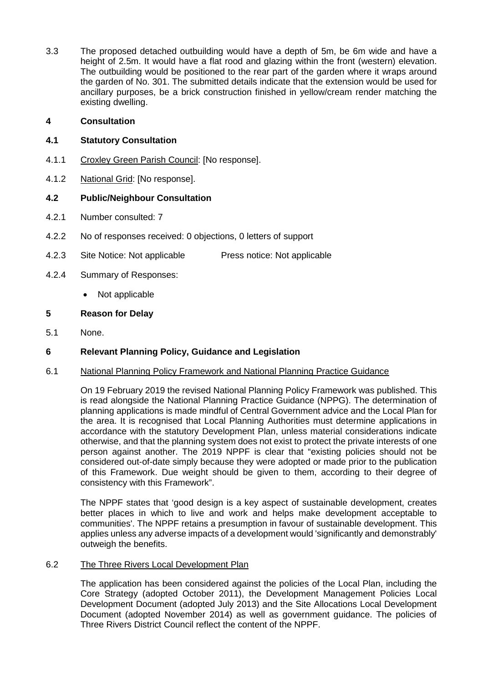3.3 The proposed detached outbuilding would have a depth of 5m, be 6m wide and have a height of 2.5m. It would have a flat rood and glazing within the front (western) elevation. The outbuilding would be positioned to the rear part of the garden where it wraps around the garden of No. 301. The submitted details indicate that the extension would be used for ancillary purposes, be a brick construction finished in yellow/cream render matching the existing dwelling.

# **4 Consultation**

# **4.1 Statutory Consultation**

- 4.1.1 Croxley Green Parish Council: [No response].
- 4.1.2 National Grid: [No response].

# **4.2 Public/Neighbour Consultation**

- 4.2.1 Number consulted: 7
- 4.2.2 No of responses received: 0 objections, 0 letters of support
- 4.2.3 Site Notice: Not applicable Press notice: Not applicable
- 4.2.4 Summary of Responses:
	- Not applicable

### **5 Reason for Delay**

5.1 None.

# **6 Relevant Planning Policy, Guidance and Legislation**

### 6.1 National Planning Policy Framework and National Planning Practice Guidance

On 19 February 2019 the revised National Planning Policy Framework was published. This is read alongside the National Planning Practice Guidance (NPPG). The determination of planning applications is made mindful of Central Government advice and the Local Plan for the area. It is recognised that Local Planning Authorities must determine applications in accordance with the statutory Development Plan, unless material considerations indicate otherwise, and that the planning system does not exist to protect the private interests of one person against another. The 2019 NPPF is clear that "existing policies should not be considered out-of-date simply because they were adopted or made prior to the publication of this Framework. Due weight should be given to them, according to their degree of consistency with this Framework".

The NPPF states that 'good design is a key aspect of sustainable development, creates better places in which to live and work and helps make development acceptable to communities'. The NPPF retains a presumption in favour of sustainable development. This applies unless any adverse impacts of a development would 'significantly and demonstrably' outweigh the benefits.

# 6.2 The Three Rivers Local Development Plan

The application has been considered against the policies of the Local Plan, including the Core Strategy (adopted October 2011), the Development Management Policies Local Development Document (adopted July 2013) and the Site Allocations Local Development Document (adopted November 2014) as well as government guidance. The policies of Three Rivers District Council reflect the content of the NPPF.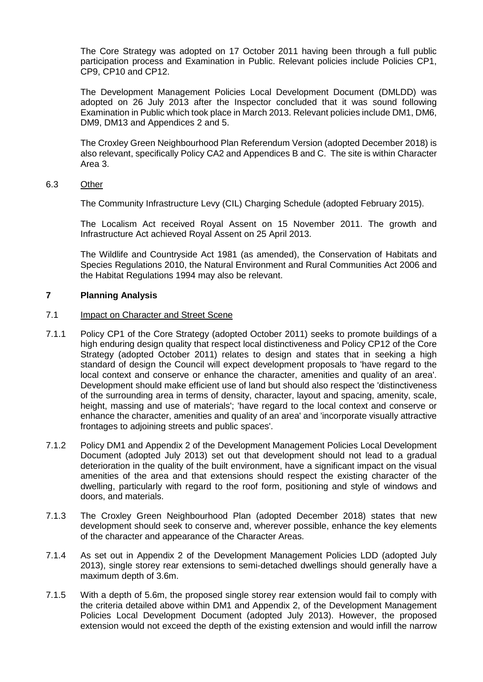The Core Strategy was adopted on 17 October 2011 having been through a full public participation process and Examination in Public. Relevant policies include Policies CP1, CP9, CP10 and CP12.

The Development Management Policies Local Development Document (DMLDD) was adopted on 26 July 2013 after the Inspector concluded that it was sound following Examination in Public which took place in March 2013. Relevant policies include DM1, DM6, DM9, DM13 and Appendices 2 and 5.

The Croxley Green Neighbourhood Plan Referendum Version (adopted December 2018) is also relevant, specifically Policy CA2 and Appendices B and C. The site is within Character Area 3.

6.3 Other

The Community Infrastructure Levy (CIL) Charging Schedule (adopted February 2015).

The Localism Act received Royal Assent on 15 November 2011. The growth and Infrastructure Act achieved Royal Assent on 25 April 2013.

The Wildlife and Countryside Act 1981 (as amended), the Conservation of Habitats and Species Regulations 2010, the Natural Environment and Rural Communities Act 2006 and the Habitat Regulations 1994 may also be relevant.

### **7 Planning Analysis**

#### 7.1 Impact on Character and Street Scene

- 7.1.1 Policy CP1 of the Core Strategy (adopted October 2011) seeks to promote buildings of a high enduring design quality that respect local distinctiveness and Policy CP12 of the Core Strategy (adopted October 2011) relates to design and states that in seeking a high standard of design the Council will expect development proposals to 'have regard to the local context and conserve or enhance the character, amenities and quality of an area'. Development should make efficient use of land but should also respect the 'distinctiveness of the surrounding area in terms of density, character, layout and spacing, amenity, scale, height, massing and use of materials'; 'have regard to the local context and conserve or enhance the character, amenities and quality of an area' and 'incorporate visually attractive frontages to adjoining streets and public spaces'.
- 7.1.2 Policy DM1 and Appendix 2 of the Development Management Policies Local Development Document (adopted July 2013) set out that development should not lead to a gradual deterioration in the quality of the built environment, have a significant impact on the visual amenities of the area and that extensions should respect the existing character of the dwelling, particularly with regard to the roof form, positioning and style of windows and doors, and materials.
- 7.1.3 The Croxley Green Neighbourhood Plan (adopted December 2018) states that new development should seek to conserve and, wherever possible, enhance the key elements of the character and appearance of the Character Areas.
- 7.1.4 As set out in Appendix 2 of the Development Management Policies LDD (adopted July 2013), single storey rear extensions to semi-detached dwellings should generally have a maximum depth of 3.6m.
- 7.1.5 With a depth of 5.6m, the proposed single storey rear extension would fail to comply with the criteria detailed above within DM1 and Appendix 2, of the Development Management Policies Local Development Document (adopted July 2013). However, the proposed extension would not exceed the depth of the existing extension and would infill the narrow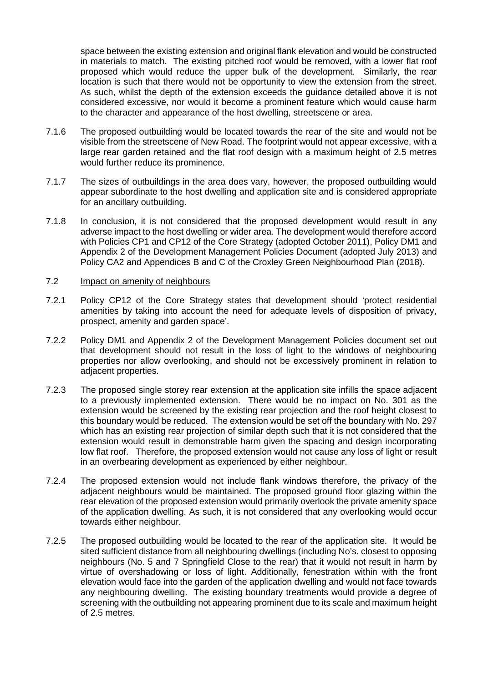space between the existing extension and original flank elevation and would be constructed in materials to match. The existing pitched roof would be removed, with a lower flat roof proposed which would reduce the upper bulk of the development. Similarly, the rear location is such that there would not be opportunity to view the extension from the street. As such, whilst the depth of the extension exceeds the guidance detailed above it is not considered excessive, nor would it become a prominent feature which would cause harm to the character and appearance of the host dwelling, streetscene or area.

- 7.1.6 The proposed outbuilding would be located towards the rear of the site and would not be visible from the streetscene of New Road. The footprint would not appear excessive, with a large rear garden retained and the flat roof design with a maximum height of 2.5 metres would further reduce its prominence.
- 7.1.7 The sizes of outbuildings in the area does vary, however, the proposed outbuilding would appear subordinate to the host dwelling and application site and is considered appropriate for an ancillary outbuilding.
- 7.1.8 In conclusion, it is not considered that the proposed development would result in any adverse impact to the host dwelling or wider area. The development would therefore accord with Policies CP1 and CP12 of the Core Strategy (adopted October 2011), Policy DM1 and Appendix 2 of the Development Management Policies Document (adopted July 2013) and Policy CA2 and Appendices B and C of the Croxley Green Neighbourhood Plan (2018).

# 7.2 Impact on amenity of neighbours

- 7.2.1 Policy CP12 of the Core Strategy states that development should 'protect residential amenities by taking into account the need for adequate levels of disposition of privacy, prospect, amenity and garden space'.
- 7.2.2 Policy DM1 and Appendix 2 of the Development Management Policies document set out that development should not result in the loss of light to the windows of neighbouring properties nor allow overlooking, and should not be excessively prominent in relation to adjacent properties.
- 7.2.3 The proposed single storey rear extension at the application site infills the space adjacent to a previously implemented extension. There would be no impact on No. 301 as the extension would be screened by the existing rear projection and the roof height closest to this boundary would be reduced. The extension would be set off the boundary with No. 297 which has an existing rear projection of similar depth such that it is not considered that the extension would result in demonstrable harm given the spacing and design incorporating low flat roof. Therefore, the proposed extension would not cause any loss of light or result in an overbearing development as experienced by either neighbour.
- 7.2.4 The proposed extension would not include flank windows therefore, the privacy of the adjacent neighbours would be maintained. The proposed ground floor glazing within the rear elevation of the proposed extension would primarily overlook the private amenity space of the application dwelling. As such, it is not considered that any overlooking would occur towards either neighbour.
- 7.2.5 The proposed outbuilding would be located to the rear of the application site. It would be sited sufficient distance from all neighbouring dwellings (including No's. closest to opposing neighbours (No. 5 and 7 Springfield Close to the rear) that it would not result in harm by virtue of overshadowing or loss of light. Additionally, fenestration within with the front elevation would face into the garden of the application dwelling and would not face towards any neighbouring dwelling. The existing boundary treatments would provide a degree of screening with the outbuilding not appearing prominent due to its scale and maximum height of 2.5 metres.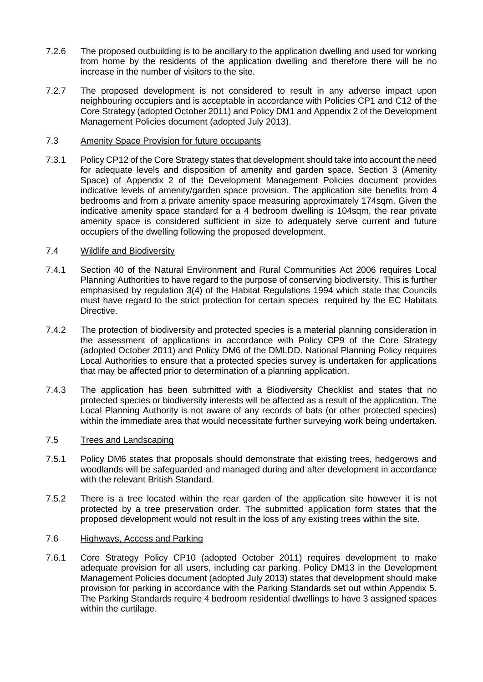- 7.2.6 The proposed outbuilding is to be ancillary to the application dwelling and used for working from home by the residents of the application dwelling and therefore there will be no increase in the number of visitors to the site.
- 7.2.7 The proposed development is not considered to result in any adverse impact upon neighbouring occupiers and is acceptable in accordance with Policies CP1 and C12 of the Core Strategy (adopted October 2011) and Policy DM1 and Appendix 2 of the Development Management Policies document (adopted July 2013).

#### 7.3 Amenity Space Provision for future occupants

7.3.1 Policy CP12 of the Core Strategy states that development should take into account the need for adequate levels and disposition of amenity and garden space. Section 3 (Amenity Space) of Appendix 2 of the Development Management Policies document provides indicative levels of amenity/garden space provision. The application site benefits from 4 bedrooms and from a private amenity space measuring approximately 174sqm. Given the indicative amenity space standard for a 4 bedroom dwelling is 104sqm, the rear private amenity space is considered sufficient in size to adequately serve current and future occupiers of the dwelling following the proposed development.

#### 7.4 Wildlife and Biodiversity

- 7.4.1 Section 40 of the Natural Environment and Rural Communities Act 2006 requires Local Planning Authorities to have regard to the purpose of conserving biodiversity. This is further emphasised by regulation 3(4) of the Habitat Regulations 1994 which state that Councils must have regard to the strict protection for certain species required by the EC Habitats Directive.
- 7.4.2 The protection of biodiversity and protected species is a material planning consideration in the assessment of applications in accordance with Policy CP9 of the Core Strategy (adopted October 2011) and Policy DM6 of the DMLDD. National Planning Policy requires Local Authorities to ensure that a protected species survey is undertaken for applications that may be affected prior to determination of a planning application.
- 7.4.3 The application has been submitted with a Biodiversity Checklist and states that no protected species or biodiversity interests will be affected as a result of the application. The Local Planning Authority is not aware of any records of bats (or other protected species) within the immediate area that would necessitate further surveying work being undertaken.

#### 7.5 Trees and Landscaping

- 7.5.1 Policy DM6 states that proposals should demonstrate that existing trees, hedgerows and woodlands will be safeguarded and managed during and after development in accordance with the relevant British Standard.
- 7.5.2 There is a tree located within the rear garden of the application site however it is not protected by a tree preservation order. The submitted application form states that the proposed development would not result in the loss of any existing trees within the site.

#### 7.6 Highways, Access and Parking

7.6.1 Core Strategy Policy CP10 (adopted October 2011) requires development to make adequate provision for all users, including car parking. Policy DM13 in the Development Management Policies document (adopted July 2013) states that development should make provision for parking in accordance with the Parking Standards set out within Appendix 5. The Parking Standards require 4 bedroom residential dwellings to have 3 assigned spaces within the curtilage.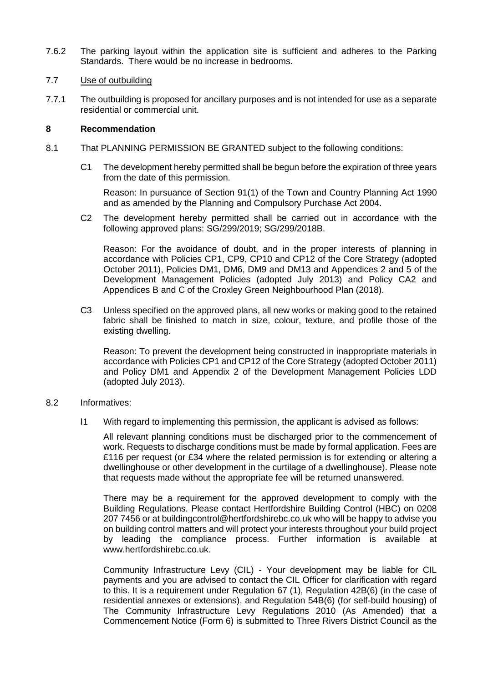7.6.2 The parking layout within the application site is sufficient and adheres to the Parking Standards. There would be no increase in bedrooms.

#### 7.7 Use of outbuilding

7.7.1 The outbuilding is proposed for ancillary purposes and is not intended for use as a separate residential or commercial unit.

#### **8 Recommendation**

- 8.1 That PLANNING PERMISSION BE GRANTED subject to the following conditions:
	- C1 The development hereby permitted shall be begun before the expiration of three years from the date of this permission.

Reason: In pursuance of Section 91(1) of the Town and Country Planning Act 1990 and as amended by the Planning and Compulsory Purchase Act 2004.

C2 The development hereby permitted shall be carried out in accordance with the following approved plans: SG/299/2019; SG/299/2018B.

Reason: For the avoidance of doubt, and in the proper interests of planning in accordance with Policies CP1, CP9, CP10 and CP12 of the Core Strategy (adopted October 2011), Policies DM1, DM6, DM9 and DM13 and Appendices 2 and 5 of the Development Management Policies (adopted July 2013) and Policy CA2 and Appendices B and C of the Croxley Green Neighbourhood Plan (2018).

C3 Unless specified on the approved plans, all new works or making good to the retained fabric shall be finished to match in size, colour, texture, and profile those of the existing dwelling.

Reason: To prevent the development being constructed in inappropriate materials in accordance with Policies CP1 and CP12 of the Core Strategy (adopted October 2011) and Policy DM1 and Appendix 2 of the Development Management Policies LDD (adopted July 2013).

#### 8.2 Informatives:

I1 With regard to implementing this permission, the applicant is advised as follows:

All relevant planning conditions must be discharged prior to the commencement of work. Requests to discharge conditions must be made by formal application. Fees are £116 per request (or £34 where the related permission is for extending or altering a dwellinghouse or other development in the curtilage of a dwellinghouse). Please note that requests made without the appropriate fee will be returned unanswered.

There may be a requirement for the approved development to comply with the Building Regulations. Please contact Hertfordshire Building Control (HBC) on 0208 207 7456 or at buildingcontrol@hertfordshirebc.co.uk who will be happy to advise you on building control matters and will protect your interests throughout your build project by leading the compliance process. Further information is available at www.hertfordshirebc.co.uk.

Community Infrastructure Levy (CIL) - Your development may be liable for CIL payments and you are advised to contact the CIL Officer for clarification with regard to this. It is a requirement under Regulation 67 (1), Regulation 42B(6) (in the case of residential annexes or extensions), and Regulation 54B(6) (for self-build housing) of The Community Infrastructure Levy Regulations 2010 (As Amended) that a Commencement Notice (Form 6) is submitted to Three Rivers District Council as the